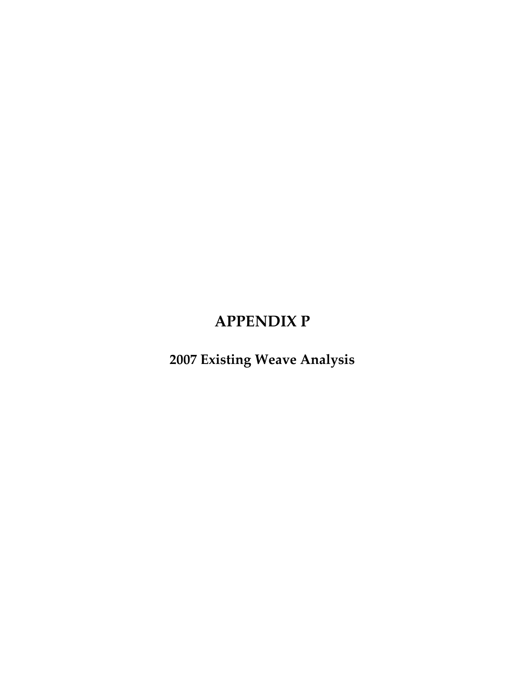## **APPENDIX P**

**2007 Existing Weave Analysis**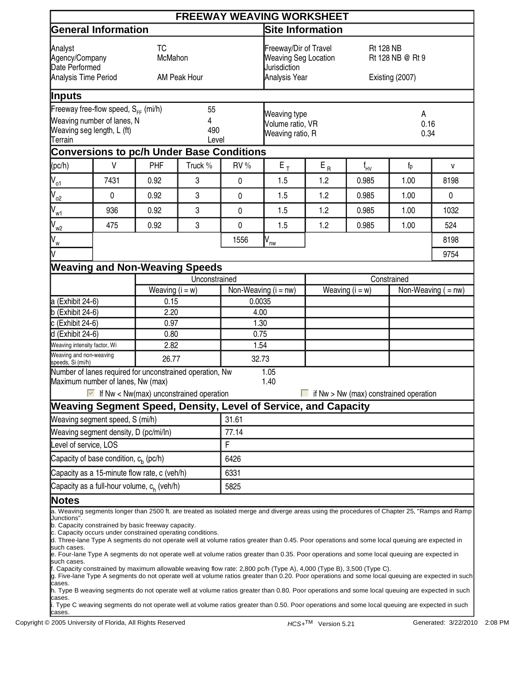|                                                                                                                                            |                                                   |                                                                                                                    |               |                                                                                                           | <b>FREEWAY WEAVING WORKSHEET</b>                                                                                                                                                                                                                                                                                                                                                                                                                                                                                                                                                                                                                                                                                                                                                                                                                                                                                                                                                                                           |                   |                                     |                                        |                       |  |  |
|--------------------------------------------------------------------------------------------------------------------------------------------|---------------------------------------------------|--------------------------------------------------------------------------------------------------------------------|---------------|-----------------------------------------------------------------------------------------------------------|----------------------------------------------------------------------------------------------------------------------------------------------------------------------------------------------------------------------------------------------------------------------------------------------------------------------------------------------------------------------------------------------------------------------------------------------------------------------------------------------------------------------------------------------------------------------------------------------------------------------------------------------------------------------------------------------------------------------------------------------------------------------------------------------------------------------------------------------------------------------------------------------------------------------------------------------------------------------------------------------------------------------------|-------------------|-------------------------------------|----------------------------------------|-----------------------|--|--|
|                                                                                                                                            | <b>General Information</b>                        |                                                                                                                    |               | Site Information                                                                                          |                                                                                                                                                                                                                                                                                                                                                                                                                                                                                                                                                                                                                                                                                                                                                                                                                                                                                                                                                                                                                            |                   |                                     |                                        |                       |  |  |
| <b>TC</b><br>Analyst<br>McMahon<br>Agency/Company<br>Date Performed<br>Analysis Time Period<br>AM Peak Hour                                |                                                   |                                                                                                                    |               | Freeway/Dir of Travel<br><b>Rt 128 NB</b><br><b>Weaving Seg Location</b><br>Jurisdiction<br>Analysis Year |                                                                                                                                                                                                                                                                                                                                                                                                                                                                                                                                                                                                                                                                                                                                                                                                                                                                                                                                                                                                                            |                   | Rt 128 NB @ Rt 9<br>Existing (2007) |                                        |                       |  |  |
| <b>Inputs</b>                                                                                                                              |                                                   |                                                                                                                    |               |                                                                                                           |                                                                                                                                                                                                                                                                                                                                                                                                                                                                                                                                                                                                                                                                                                                                                                                                                                                                                                                                                                                                                            |                   |                                     |                                        |                       |  |  |
| Freeway free-flow speed, $S_{FF}$ (mi/h)<br>55<br>Weaving number of lanes, N<br>4<br>Weaving seg length, L (ft)<br>490<br>Terrain<br>Level |                                                   |                                                                                                                    |               | Weaving type<br>Volume ratio, VR<br>Weaving ratio, R                                                      |                                                                                                                                                                                                                                                                                                                                                                                                                                                                                                                                                                                                                                                                                                                                                                                                                                                                                                                                                                                                                            |                   | A<br>0.16<br>0.34                   |                                        |                       |  |  |
|                                                                                                                                            |                                                   | <b>Conversions to pc/h Under Base Conditions</b>                                                                   |               |                                                                                                           |                                                                                                                                                                                                                                                                                                                                                                                                                                                                                                                                                                                                                                                                                                                                                                                                                                                                                                                                                                                                                            |                   |                                     |                                        |                       |  |  |
| (pc/h)                                                                                                                                     | $\vee$                                            | PHF                                                                                                                | Truck %       | RV %                                                                                                      | $\mathsf{E}_{\, \mathsf{T}}$                                                                                                                                                                                                                                                                                                                                                                                                                                                                                                                                                                                                                                                                                                                                                                                                                                                                                                                                                                                               | $E_R$             | $f_{HV}$                            | $f_p$                                  | $\mathsf{V}$          |  |  |
| $V_{o1}$                                                                                                                                   | 7431                                              | 0.92                                                                                                               | 3             | $\mathbf{0}$                                                                                              | 1.5                                                                                                                                                                                                                                                                                                                                                                                                                                                                                                                                                                                                                                                                                                                                                                                                                                                                                                                                                                                                                        | 1.2               | 0.985                               | 1.00                                   | 8198                  |  |  |
| $V_{o2}$                                                                                                                                   | $\pmb{0}$                                         | 0.92                                                                                                               | 3             | 0                                                                                                         | 1.5                                                                                                                                                                                                                                                                                                                                                                                                                                                                                                                                                                                                                                                                                                                                                                                                                                                                                                                                                                                                                        | 1.2               | 0.985                               | 1.00                                   | 0                     |  |  |
| $N_{\underline{w1}}$                                                                                                                       | 936                                               | 0.92                                                                                                               | 3             | 0                                                                                                         | 1.5                                                                                                                                                                                                                                                                                                                                                                                                                                                                                                                                                                                                                                                                                                                                                                                                                                                                                                                                                                                                                        | 1.2               | 0.985                               | 1.00                                   | 1032                  |  |  |
| $V_{w2}$                                                                                                                                   | 475                                               | 0.92                                                                                                               | 3             | $\mathbf 0$                                                                                               | 1.5                                                                                                                                                                                                                                                                                                                                                                                                                                                                                                                                                                                                                                                                                                                                                                                                                                                                                                                                                                                                                        | 1.2               | 0.985                               | 1.00                                   | 524                   |  |  |
| $V_{w}$<br>V                                                                                                                               |                                                   |                                                                                                                    |               | 1556                                                                                                      | $\overline{N}_{\underline{nw}}$                                                                                                                                                                                                                                                                                                                                                                                                                                                                                                                                                                                                                                                                                                                                                                                                                                                                                                                                                                                            |                   |                                     |                                        | 8198<br>9754          |  |  |
|                                                                                                                                            |                                                   | <b>Weaving and Non-Weaving Speeds</b>                                                                              |               |                                                                                                           |                                                                                                                                                                                                                                                                                                                                                                                                                                                                                                                                                                                                                                                                                                                                                                                                                                                                                                                                                                                                                            |                   |                                     |                                        |                       |  |  |
|                                                                                                                                            |                                                   |                                                                                                                    | Unconstrained |                                                                                                           |                                                                                                                                                                                                                                                                                                                                                                                                                                                                                                                                                                                                                                                                                                                                                                                                                                                                                                                                                                                                                            | Constrained       |                                     |                                        |                       |  |  |
|                                                                                                                                            |                                                   | Weaving $(i = w)$                                                                                                  |               | Non-Weaving $(i = nw)$                                                                                    |                                                                                                                                                                                                                                                                                                                                                                                                                                                                                                                                                                                                                                                                                                                                                                                                                                                                                                                                                                                                                            | Weaving $(i = w)$ |                                     |                                        | Non-Weaving $($ = nw) |  |  |
| a (Exhibit 24-6)                                                                                                                           |                                                   | 0.15                                                                                                               |               | 0.0035                                                                                                    |                                                                                                                                                                                                                                                                                                                                                                                                                                                                                                                                                                                                                                                                                                                                                                                                                                                                                                                                                                                                                            |                   |                                     |                                        |                       |  |  |
| $b$ (Exhibit 24-6)                                                                                                                         |                                                   | 2.20                                                                                                               |               | 4.00                                                                                                      |                                                                                                                                                                                                                                                                                                                                                                                                                                                                                                                                                                                                                                                                                                                                                                                                                                                                                                                                                                                                                            |                   |                                     |                                        |                       |  |  |
| c (Exhibit 24-6)<br>d (Exhibit 24-6)                                                                                                       |                                                   | 0.97<br>0.80                                                                                                       |               | 1.30<br>0.75                                                                                              |                                                                                                                                                                                                                                                                                                                                                                                                                                                                                                                                                                                                                                                                                                                                                                                                                                                                                                                                                                                                                            |                   |                                     |                                        |                       |  |  |
| Weaving intensity factor, Wi                                                                                                               |                                                   | 2.82                                                                                                               |               | 1.54                                                                                                      |                                                                                                                                                                                                                                                                                                                                                                                                                                                                                                                                                                                                                                                                                                                                                                                                                                                                                                                                                                                                                            |                   |                                     |                                        |                       |  |  |
| Weaving and non-weaving<br>speeds, Si (mi/h)                                                                                               |                                                   | 26.77                                                                                                              |               | 32.73                                                                                                     |                                                                                                                                                                                                                                                                                                                                                                                                                                                                                                                                                                                                                                                                                                                                                                                                                                                                                                                                                                                                                            |                   |                                     |                                        |                       |  |  |
|                                                                                                                                            | Maximum number of lanes, Nw (max)                 | Number of lanes required for unconstrained operation, Nw<br>$\blacksquare$ If Nw < Nw(max) unconstrained operation |               |                                                                                                           | 1.05<br>1.40<br>Weaving Segment Speed, Density, Level of Service, and Capacity                                                                                                                                                                                                                                                                                                                                                                                                                                                                                                                                                                                                                                                                                                                                                                                                                                                                                                                                             |                   |                                     | if Nw > Nw (max) constrained operation |                       |  |  |
|                                                                                                                                            | Weaving segment speed, S (mi/h)                   |                                                                                                                    |               | 31.61                                                                                                     |                                                                                                                                                                                                                                                                                                                                                                                                                                                                                                                                                                                                                                                                                                                                                                                                                                                                                                                                                                                                                            |                   |                                     |                                        |                       |  |  |
|                                                                                                                                            | Weaving segment density, D (pc/mi/ln)             |                                                                                                                    |               | 77.14                                                                                                     |                                                                                                                                                                                                                                                                                                                                                                                                                                                                                                                                                                                                                                                                                                                                                                                                                                                                                                                                                                                                                            |                   |                                     |                                        |                       |  |  |
| evel of service, LOS                                                                                                                       |                                                   |                                                                                                                    |               | F                                                                                                         |                                                                                                                                                                                                                                                                                                                                                                                                                                                                                                                                                                                                                                                                                                                                                                                                                                                                                                                                                                                                                            |                   |                                     |                                        |                       |  |  |
|                                                                                                                                            | Capacity of base condition, c <sub>h</sub> (pc/h) |                                                                                                                    |               | 6426                                                                                                      |                                                                                                                                                                                                                                                                                                                                                                                                                                                                                                                                                                                                                                                                                                                                                                                                                                                                                                                                                                                                                            |                   |                                     |                                        |                       |  |  |
|                                                                                                                                            |                                                   | Capacity as a 15-minute flow rate, c (veh/h)                                                                       |               | 6331                                                                                                      |                                                                                                                                                                                                                                                                                                                                                                                                                                                                                                                                                                                                                                                                                                                                                                                                                                                                                                                                                                                                                            |                   |                                     |                                        |                       |  |  |
|                                                                                                                                            |                                                   | Capacity as a full-hour volume, c <sub>h</sub> (veh/h)                                                             |               | 5825                                                                                                      |                                                                                                                                                                                                                                                                                                                                                                                                                                                                                                                                                                                                                                                                                                                                                                                                                                                                                                                                                                                                                            |                   |                                     |                                        |                       |  |  |
| <b>Notes</b>                                                                                                                               |                                                   |                                                                                                                    |               |                                                                                                           |                                                                                                                                                                                                                                                                                                                                                                                                                                                                                                                                                                                                                                                                                                                                                                                                                                                                                                                                                                                                                            |                   |                                     |                                        |                       |  |  |
| Junctions".<br>such cases.<br>such cases.<br>cases.<br>cases.                                                                              |                                                   | b. Capacity constrained by basic freeway capacity.<br>c. Capacity occurs under constrained operating conditions.   |               |                                                                                                           | a. Weaving segments longer than 2500 ft. are treated as isolated merge and diverge areas using the procedures of Chapter 25, "Ramps and Ramp<br>d. Three-lane Type A segments do not operate well at volume ratios greater than 0.45. Poor operations and some local queuing are expected in<br>e. Four-lane Type A segments do not operate well at volume ratios greater than 0.35. Poor operations and some local queuing are expected in<br>f. Capacity constrained by maximum allowable weaving flow rate: 2,800 pc/h (Type A), 4,000 (Type B), 3,500 (Type C).<br>g. Five-lane Type A segments do not operate well at volume ratios greater than 0.20. Poor operations and some local queuing are expected in such<br>h. Type B weaving segments do not operate well at volume ratios greater than 0.80. Poor operations and some local queuing are expected in such<br>. Type C weaving segments do not operate well at volume ratios greater than 0.50. Poor operations and some local queuing are expected in such |                   |                                     |                                        |                       |  |  |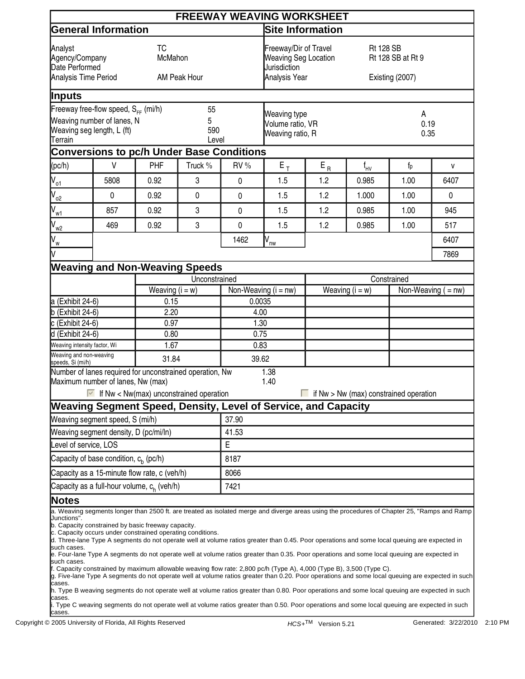|                                                                                                                                                    |                                                                                                                                                                                                                              |                                                                                                                                                                                    | <b>Site Information</b>                                                                                                                                                                                                                                                                                                    |                                                                                                                                                                                                                                                  |                                                                                                                                                                                      |                                                                                                                 |                                                                                                                                                    |                                                                                                                                                                                                                                                                                                                                                                                                                                                                                                                                                                                                                                                                                                                                                                                                                                                                                                                                                                                                                                                                                                                      |  |  |
|----------------------------------------------------------------------------------------------------------------------------------------------------|------------------------------------------------------------------------------------------------------------------------------------------------------------------------------------------------------------------------------|------------------------------------------------------------------------------------------------------------------------------------------------------------------------------------|----------------------------------------------------------------------------------------------------------------------------------------------------------------------------------------------------------------------------------------------------------------------------------------------------------------------------|--------------------------------------------------------------------------------------------------------------------------------------------------------------------------------------------------------------------------------------------------|--------------------------------------------------------------------------------------------------------------------------------------------------------------------------------------|-----------------------------------------------------------------------------------------------------------------|----------------------------------------------------------------------------------------------------------------------------------------------------|----------------------------------------------------------------------------------------------------------------------------------------------------------------------------------------------------------------------------------------------------------------------------------------------------------------------------------------------------------------------------------------------------------------------------------------------------------------------------------------------------------------------------------------------------------------------------------------------------------------------------------------------------------------------------------------------------------------------------------------------------------------------------------------------------------------------------------------------------------------------------------------------------------------------------------------------------------------------------------------------------------------------------------------------------------------------------------------------------------------------|--|--|
| <b>TC</b><br>Analyst<br>McMahon<br>Agency/Company<br>Date Performed<br>Analysis Time Period<br>AM Peak Hour                                        |                                                                                                                                                                                                                              |                                                                                                                                                                                    | Freeway/Dir of Travel<br><b>Weaving Seg Location</b><br>Jurisdiction<br>Analysis Year                                                                                                                                                                                                                                      |                                                                                                                                                                                                                                                  | <b>Rt 128 SB</b><br>Rt 128 SB at Rt 9<br>Existing (2007)                                                                                                                             |                                                                                                                 |                                                                                                                                                    |                                                                                                                                                                                                                                                                                                                                                                                                                                                                                                                                                                                                                                                                                                                                                                                                                                                                                                                                                                                                                                                                                                                      |  |  |
|                                                                                                                                                    |                                                                                                                                                                                                                              |                                                                                                                                                                                    |                                                                                                                                                                                                                                                                                                                            |                                                                                                                                                                                                                                                  |                                                                                                                                                                                      |                                                                                                                 |                                                                                                                                                    |                                                                                                                                                                                                                                                                                                                                                                                                                                                                                                                                                                                                                                                                                                                                                                                                                                                                                                                                                                                                                                                                                                                      |  |  |
| Inputs<br>Freeway free-flow speed, $S_{FF}$ (mi/h)<br>55<br>Weaving number of lanes, N<br>5<br>Weaving seg length, L (ft)<br>590<br><b>Terrain</b> |                                                                                                                                                                                                                              |                                                                                                                                                                                    |                                                                                                                                                                                                                                                                                                                            |                                                                                                                                                                                                                                                  |                                                                                                                                                                                      | A<br>0.19<br>0.35                                                                                               |                                                                                                                                                    |                                                                                                                                                                                                                                                                                                                                                                                                                                                                                                                                                                                                                                                                                                                                                                                                                                                                                                                                                                                                                                                                                                                      |  |  |
|                                                                                                                                                    |                                                                                                                                                                                                                              |                                                                                                                                                                                    |                                                                                                                                                                                                                                                                                                                            |                                                                                                                                                                                                                                                  |                                                                                                                                                                                      |                                                                                                                 |                                                                                                                                                    |                                                                                                                                                                                                                                                                                                                                                                                                                                                                                                                                                                                                                                                                                                                                                                                                                                                                                                                                                                                                                                                                                                                      |  |  |
| $\vee$                                                                                                                                             |                                                                                                                                                                                                                              |                                                                                                                                                                                    |                                                                                                                                                                                                                                                                                                                            |                                                                                                                                                                                                                                                  |                                                                                                                                                                                      |                                                                                                                 |                                                                                                                                                    | V                                                                                                                                                                                                                                                                                                                                                                                                                                                                                                                                                                                                                                                                                                                                                                                                                                                                                                                                                                                                                                                                                                                    |  |  |
|                                                                                                                                                    |                                                                                                                                                                                                                              |                                                                                                                                                                                    |                                                                                                                                                                                                                                                                                                                            |                                                                                                                                                                                                                                                  |                                                                                                                                                                                      |                                                                                                                 |                                                                                                                                                    | 6407                                                                                                                                                                                                                                                                                                                                                                                                                                                                                                                                                                                                                                                                                                                                                                                                                                                                                                                                                                                                                                                                                                                 |  |  |
|                                                                                                                                                    |                                                                                                                                                                                                                              | 0                                                                                                                                                                                  |                                                                                                                                                                                                                                                                                                                            | 1.5                                                                                                                                                                                                                                              |                                                                                                                                                                                      |                                                                                                                 | 1.00                                                                                                                                               | 0                                                                                                                                                                                                                                                                                                                                                                                                                                                                                                                                                                                                                                                                                                                                                                                                                                                                                                                                                                                                                                                                                                                    |  |  |
|                                                                                                                                                    |                                                                                                                                                                                                                              |                                                                                                                                                                                    |                                                                                                                                                                                                                                                                                                                            |                                                                                                                                                                                                                                                  |                                                                                                                                                                                      |                                                                                                                 |                                                                                                                                                    | 945                                                                                                                                                                                                                                                                                                                                                                                                                                                                                                                                                                                                                                                                                                                                                                                                                                                                                                                                                                                                                                                                                                                  |  |  |
|                                                                                                                                                    |                                                                                                                                                                                                                              |                                                                                                                                                                                    |                                                                                                                                                                                                                                                                                                                            |                                                                                                                                                                                                                                                  |                                                                                                                                                                                      |                                                                                                                 |                                                                                                                                                    | 517                                                                                                                                                                                                                                                                                                                                                                                                                                                                                                                                                                                                                                                                                                                                                                                                                                                                                                                                                                                                                                                                                                                  |  |  |
|                                                                                                                                                    |                                                                                                                                                                                                                              |                                                                                                                                                                                    |                                                                                                                                                                                                                                                                                                                            |                                                                                                                                                                                                                                                  |                                                                                                                                                                                      |                                                                                                                 |                                                                                                                                                    | 6407                                                                                                                                                                                                                                                                                                                                                                                                                                                                                                                                                                                                                                                                                                                                                                                                                                                                                                                                                                                                                                                                                                                 |  |  |
|                                                                                                                                                    |                                                                                                                                                                                                                              |                                                                                                                                                                                    |                                                                                                                                                                                                                                                                                                                            |                                                                                                                                                                                                                                                  |                                                                                                                                                                                      |                                                                                                                 |                                                                                                                                                    | 7869                                                                                                                                                                                                                                                                                                                                                                                                                                                                                                                                                                                                                                                                                                                                                                                                                                                                                                                                                                                                                                                                                                                 |  |  |
|                                                                                                                                                    |                                                                                                                                                                                                                              |                                                                                                                                                                                    |                                                                                                                                                                                                                                                                                                                            |                                                                                                                                                                                                                                                  |                                                                                                                                                                                      |                                                                                                                 |                                                                                                                                                    |                                                                                                                                                                                                                                                                                                                                                                                                                                                                                                                                                                                                                                                                                                                                                                                                                                                                                                                                                                                                                                                                                                                      |  |  |
|                                                                                                                                                    |                                                                                                                                                                                                                              |                                                                                                                                                                                    |                                                                                                                                                                                                                                                                                                                            |                                                                                                                                                                                                                                                  |                                                                                                                                                                                      |                                                                                                                 |                                                                                                                                                    |                                                                                                                                                                                                                                                                                                                                                                                                                                                                                                                                                                                                                                                                                                                                                                                                                                                                                                                                                                                                                                                                                                                      |  |  |
|                                                                                                                                                    |                                                                                                                                                                                                                              |                                                                                                                                                                                    |                                                                                                                                                                                                                                                                                                                            |                                                                                                                                                                                                                                                  | Weaving $(i = w)$                                                                                                                                                                    |                                                                                                                 |                                                                                                                                                    | $\overline{\text{Non-Weaving}}$ ( = nw)                                                                                                                                                                                                                                                                                                                                                                                                                                                                                                                                                                                                                                                                                                                                                                                                                                                                                                                                                                                                                                                                              |  |  |
|                                                                                                                                                    |                                                                                                                                                                                                                              |                                                                                                                                                                                    | 0.0035                                                                                                                                                                                                                                                                                                                     |                                                                                                                                                                                                                                                  |                                                                                                                                                                                      |                                                                                                                 |                                                                                                                                                    |                                                                                                                                                                                                                                                                                                                                                                                                                                                                                                                                                                                                                                                                                                                                                                                                                                                                                                                                                                                                                                                                                                                      |  |  |
|                                                                                                                                                    |                                                                                                                                                                                                                              |                                                                                                                                                                                    |                                                                                                                                                                                                                                                                                                                            |                                                                                                                                                                                                                                                  |                                                                                                                                                                                      |                                                                                                                 |                                                                                                                                                    |                                                                                                                                                                                                                                                                                                                                                                                                                                                                                                                                                                                                                                                                                                                                                                                                                                                                                                                                                                                                                                                                                                                      |  |  |
|                                                                                                                                                    |                                                                                                                                                                                                                              |                                                                                                                                                                                    |                                                                                                                                                                                                                                                                                                                            |                                                                                                                                                                                                                                                  |                                                                                                                                                                                      |                                                                                                                 |                                                                                                                                                    |                                                                                                                                                                                                                                                                                                                                                                                                                                                                                                                                                                                                                                                                                                                                                                                                                                                                                                                                                                                                                                                                                                                      |  |  |
|                                                                                                                                                    |                                                                                                                                                                                                                              |                                                                                                                                                                                    |                                                                                                                                                                                                                                                                                                                            |                                                                                                                                                                                                                                                  |                                                                                                                                                                                      |                                                                                                                 |                                                                                                                                                    |                                                                                                                                                                                                                                                                                                                                                                                                                                                                                                                                                                                                                                                                                                                                                                                                                                                                                                                                                                                                                                                                                                                      |  |  |
|                                                                                                                                                    |                                                                                                                                                                                                                              |                                                                                                                                                                                    |                                                                                                                                                                                                                                                                                                                            |                                                                                                                                                                                                                                                  |                                                                                                                                                                                      |                                                                                                                 |                                                                                                                                                    |                                                                                                                                                                                                                                                                                                                                                                                                                                                                                                                                                                                                                                                                                                                                                                                                                                                                                                                                                                                                                                                                                                                      |  |  |
|                                                                                                                                                    |                                                                                                                                                                                                                              |                                                                                                                                                                                    |                                                                                                                                                                                                                                                                                                                            | 1.38<br>1.40                                                                                                                                                                                                                                     |                                                                                                                                                                                      |                                                                                                                 |                                                                                                                                                    |                                                                                                                                                                                                                                                                                                                                                                                                                                                                                                                                                                                                                                                                                                                                                                                                                                                                                                                                                                                                                                                                                                                      |  |  |
|                                                                                                                                                    |                                                                                                                                                                                                                              |                                                                                                                                                                                    |                                                                                                                                                                                                                                                                                                                            |                                                                                                                                                                                                                                                  |                                                                                                                                                                                      |                                                                                                                 |                                                                                                                                                    |                                                                                                                                                                                                                                                                                                                                                                                                                                                                                                                                                                                                                                                                                                                                                                                                                                                                                                                                                                                                                                                                                                                      |  |  |
|                                                                                                                                                    |                                                                                                                                                                                                                              |                                                                                                                                                                                    | 37.90                                                                                                                                                                                                                                                                                                                      |                                                                                                                                                                                                                                                  |                                                                                                                                                                                      |                                                                                                                 |                                                                                                                                                    |                                                                                                                                                                                                                                                                                                                                                                                                                                                                                                                                                                                                                                                                                                                                                                                                                                                                                                                                                                                                                                                                                                                      |  |  |
|                                                                                                                                                    |                                                                                                                                                                                                                              |                                                                                                                                                                                    | 41.53                                                                                                                                                                                                                                                                                                                      |                                                                                                                                                                                                                                                  |                                                                                                                                                                                      |                                                                                                                 |                                                                                                                                                    |                                                                                                                                                                                                                                                                                                                                                                                                                                                                                                                                                                                                                                                                                                                                                                                                                                                                                                                                                                                                                                                                                                                      |  |  |
|                                                                                                                                                    |                                                                                                                                                                                                                              |                                                                                                                                                                                    | Е                                                                                                                                                                                                                                                                                                                          |                                                                                                                                                                                                                                                  |                                                                                                                                                                                      |                                                                                                                 |                                                                                                                                                    |                                                                                                                                                                                                                                                                                                                                                                                                                                                                                                                                                                                                                                                                                                                                                                                                                                                                                                                                                                                                                                                                                                                      |  |  |
| Capacity of base condition, $c_h$ (pc/h)                                                                                                           |                                                                                                                                                                                                                              |                                                                                                                                                                                    |                                                                                                                                                                                                                                                                                                                            | 8187                                                                                                                                                                                                                                             |                                                                                                                                                                                      |                                                                                                                 |                                                                                                                                                    |                                                                                                                                                                                                                                                                                                                                                                                                                                                                                                                                                                                                                                                                                                                                                                                                                                                                                                                                                                                                                                                                                                                      |  |  |
|                                                                                                                                                    |                                                                                                                                                                                                                              |                                                                                                                                                                                    | 8066                                                                                                                                                                                                                                                                                                                       |                                                                                                                                                                                                                                                  |                                                                                                                                                                                      |                                                                                                                 |                                                                                                                                                    |                                                                                                                                                                                                                                                                                                                                                                                                                                                                                                                                                                                                                                                                                                                                                                                                                                                                                                                                                                                                                                                                                                                      |  |  |
|                                                                                                                                                    |                                                                                                                                                                                                                              |                                                                                                                                                                                    | 7421                                                                                                                                                                                                                                                                                                                       |                                                                                                                                                                                                                                                  |                                                                                                                                                                                      |                                                                                                                 |                                                                                                                                                    |                                                                                                                                                                                                                                                                                                                                                                                                                                                                                                                                                                                                                                                                                                                                                                                                                                                                                                                                                                                                                                                                                                                      |  |  |
|                                                                                                                                                    |                                                                                                                                                                                                                              |                                                                                                                                                                                    |                                                                                                                                                                                                                                                                                                                            |                                                                                                                                                                                                                                                  |                                                                                                                                                                                      |                                                                                                                 |                                                                                                                                                    |                                                                                                                                                                                                                                                                                                                                                                                                                                                                                                                                                                                                                                                                                                                                                                                                                                                                                                                                                                                                                                                                                                                      |  |  |
|                                                                                                                                                    |                                                                                                                                                                                                                              |                                                                                                                                                                                    |                                                                                                                                                                                                                                                                                                                            |                                                                                                                                                                                                                                                  |                                                                                                                                                                                      |                                                                                                                 |                                                                                                                                                    |                                                                                                                                                                                                                                                                                                                                                                                                                                                                                                                                                                                                                                                                                                                                                                                                                                                                                                                                                                                                                                                                                                                      |  |  |
|                                                                                                                                                    | 5808<br>$\pmb{0}$<br>857<br>469<br>a (Exhibit 24-6)<br>$b$ (Exhibit 24-6)<br>$c$ (Exhibit 24-6)<br>d (Exhibit 24-6)<br>Weaving intensity factor, Wi<br>Weaving and non-weaving<br>speeds, Si (mi/h)<br>Level of service, LOS | <b>General Information</b><br>PHF<br>0.92<br>0.92<br>0.92<br>0.92<br>Maximum number of lanes, Nw (max)<br>Weaving segment speed, S (mi/h)<br>Weaving segment density, D (pc/mi/ln) | Truck %<br>3<br>3<br>3<br>Weaving $(i = w)$<br>0.15<br>2.20<br>0.97<br>0.80<br>1.67<br>31.84<br>Capacity as a 15-minute flow rate, c (veh/h)<br>Capacity as a full-hour volume, c <sub>h</sub> (veh/h)<br>b. Capacity constrained by basic freeway capacity.<br>c. Capacity occurs under constrained operating conditions. | Level<br>RV %<br>$\mathbf 0$<br>$\mathbf 0$<br>$\mathbf 0$<br>$\pmb{0}$<br>1462<br><b>Weaving and Non-Weaving Speeds</b><br>Unconstrained<br>Number of lanes required for unconstrained operation, Nw<br>If Nw < Nw(max) unconstrained operation | <b>Conversions to pc/h Under Base Conditions</b><br>$\mathsf{E}_{\, \mathsf{T}}$<br>1.5<br>1.5<br>1.5<br>$V_{nw}$<br>Non-Weaving $(i = nw)$<br>4.00<br>1.30<br>0.75<br>0.83<br>39.62 | Weaving type<br>Volume ratio, VR<br>Weaving ratio, R<br>$\mathsf{E}_{\,\mathsf{R}}$<br>1.2<br>1.2<br>1.2<br>1.2 | <b>FREEWAY WEAVING WORKSHEET</b><br>$f_{HV}$<br>0.985<br>1.000<br>0.985<br>0.985<br>Weaving Segment Speed, Density, Level of Service, and Capacity | $f_p$<br>1.00<br>1.00<br>1.00<br>Constrained<br>if Nw > Nw (max) constrained operation<br>a. Weaving segments longer than 2500 ft. are treated as isolated merge and diverge areas using the procedures of Chapter 25, "Ramps and Ramp<br>d. Three-lane Type A segments do not operate well at volume ratios greater than 0.45. Poor operations and some local queuing are expected in<br>e. Four-lane Type A segments do not operate well at volume ratios greater than 0.35. Poor operations and some local queuing are expected in<br>f. Capacity constrained by maximum allowable weaving flow rate: 2,800 pc/h (Type A), 4,000 (Type B), 3,500 (Type C).<br>g. Five-lane Type A segments do not operate well at volume ratios greater than 0.20. Poor operations and some local queuing are expected in such<br>h. Type B weaving segments do not operate well at volume ratios greater than 0.80. Poor operations and some local queuing are expected in such<br>. Type C weaving segments do not operate well at volume ratios greater than 0.50. Poor operations and some local queuing are expected in such |  |  |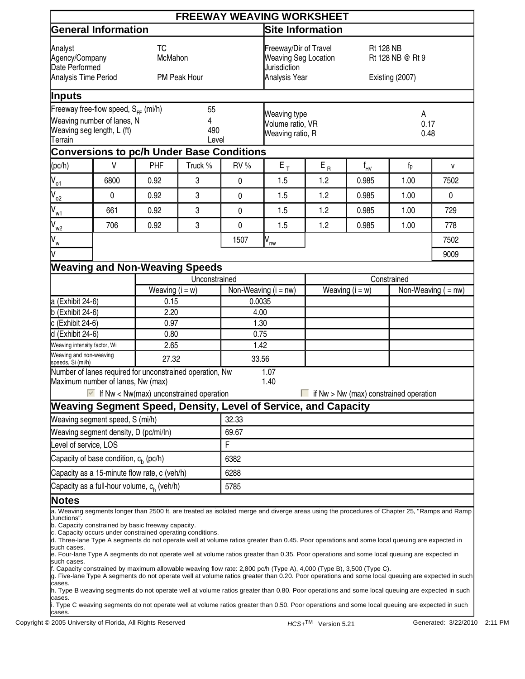|                                                                                                                                                   |                                                                                                                                                                                                                                                                                                                                                                                                                                                                                                                                                                                                                                                                                                                                                                                                                                                                                                                                                                                                                                                                                                                                                |                   |                                                                                       |                                                      | <b>FREEWAY WEAVING WORKSHEET</b>                        |                             |          |                                        |                                         |  |  |
|---------------------------------------------------------------------------------------------------------------------------------------------------|------------------------------------------------------------------------------------------------------------------------------------------------------------------------------------------------------------------------------------------------------------------------------------------------------------------------------------------------------------------------------------------------------------------------------------------------------------------------------------------------------------------------------------------------------------------------------------------------------------------------------------------------------------------------------------------------------------------------------------------------------------------------------------------------------------------------------------------------------------------------------------------------------------------------------------------------------------------------------------------------------------------------------------------------------------------------------------------------------------------------------------------------|-------------------|---------------------------------------------------------------------------------------|------------------------------------------------------|---------------------------------------------------------|-----------------------------|----------|----------------------------------------|-----------------------------------------|--|--|
|                                                                                                                                                   | <b>General Information</b>                                                                                                                                                                                                                                                                                                                                                                                                                                                                                                                                                                                                                                                                                                                                                                                                                                                                                                                                                                                                                                                                                                                     |                   |                                                                                       |                                                      | <b>Site Information</b>                                 |                             |          |                                        |                                         |  |  |
| <b>TC</b><br>Analyst<br>McMahon<br>Agency/Company<br>Date Performed<br>Analysis Time Period<br><b>PM Peak Hour</b>                                |                                                                                                                                                                                                                                                                                                                                                                                                                                                                                                                                                                                                                                                                                                                                                                                                                                                                                                                                                                                                                                                                                                                                                |                   | Freeway/Dir of Travel<br><b>Weaving Seg Location</b><br>Jurisdiction<br>Analysis Year |                                                      | <b>Rt 128 NB</b><br>Rt 128 NB @ Rt 9<br>Existing (2007) |                             |          |                                        |                                         |  |  |
| Inputs                                                                                                                                            |                                                                                                                                                                                                                                                                                                                                                                                                                                                                                                                                                                                                                                                                                                                                                                                                                                                                                                                                                                                                                                                                                                                                                |                   |                                                                                       |                                                      |                                                         |                             |          |                                        |                                         |  |  |
| Freeway free-flow speed, $S_{FF}$ (mi/h)<br>55<br>Weaving number of lanes, N<br>4<br>Weaving seg length, L (ft)<br>490<br><b>Terrain</b><br>Level |                                                                                                                                                                                                                                                                                                                                                                                                                                                                                                                                                                                                                                                                                                                                                                                                                                                                                                                                                                                                                                                                                                                                                |                   |                                                                                       | Weaving type<br>Volume ratio, VR<br>Weaving ratio, R |                                                         | A<br>0.17<br>0.48           |          |                                        |                                         |  |  |
|                                                                                                                                                   | <b>Conversions to pc/h Under Base Conditions</b>                                                                                                                                                                                                                                                                                                                                                                                                                                                                                                                                                                                                                                                                                                                                                                                                                                                                                                                                                                                                                                                                                               |                   |                                                                                       |                                                      |                                                         |                             |          |                                        |                                         |  |  |
| (pc/h)                                                                                                                                            | $\vee$                                                                                                                                                                                                                                                                                                                                                                                                                                                                                                                                                                                                                                                                                                                                                                                                                                                                                                                                                                                                                                                                                                                                         | PHF               | Truck %                                                                               | RV %                                                 | $\mathsf{E}_{\, \mathsf{T}}$                            | $\mathsf{E}_{\,\mathsf{R}}$ | $f_{HV}$ | $f_p$                                  | V                                       |  |  |
| $V_{\circ 1}$                                                                                                                                     | 6800                                                                                                                                                                                                                                                                                                                                                                                                                                                                                                                                                                                                                                                                                                                                                                                                                                                                                                                                                                                                                                                                                                                                           | 0.92              | 3                                                                                     | $\pmb{0}$                                            | 1.5                                                     | 1.2                         | 0.985    | 1.00                                   | 7502                                    |  |  |
| $\int_{02}$                                                                                                                                       | $\pmb{0}$                                                                                                                                                                                                                                                                                                                                                                                                                                                                                                                                                                                                                                                                                                                                                                                                                                                                                                                                                                                                                                                                                                                                      | 0.92              | 3                                                                                     | $\mathbf 0$                                          | 1.5                                                     | 1.2                         | 0.985    | 1.00                                   | 0                                       |  |  |
| $\int_{W_1}$                                                                                                                                      | 661                                                                                                                                                                                                                                                                                                                                                                                                                                                                                                                                                                                                                                                                                                                                                                                                                                                                                                                                                                                                                                                                                                                                            | 0.92              | 3                                                                                     | $\mathbf 0$                                          | 1.5                                                     | 1.2                         | 0.985    | 1.00                                   | 729                                     |  |  |
| $V_{w2}$                                                                                                                                          | 706                                                                                                                                                                                                                                                                                                                                                                                                                                                                                                                                                                                                                                                                                                                                                                                                                                                                                                                                                                                                                                                                                                                                            | 0.92              | 3                                                                                     | $\pmb{0}$                                            | 1.5                                                     | 1.2                         | 0.985    | 1.00                                   | 778                                     |  |  |
| $V_{\text{w}}$                                                                                                                                    |                                                                                                                                                                                                                                                                                                                                                                                                                                                                                                                                                                                                                                                                                                                                                                                                                                                                                                                                                                                                                                                                                                                                                |                   |                                                                                       | 1507                                                 | $V_{nw}$                                                |                             |          |                                        | 7502                                    |  |  |
|                                                                                                                                                   |                                                                                                                                                                                                                                                                                                                                                                                                                                                                                                                                                                                                                                                                                                                                                                                                                                                                                                                                                                                                                                                                                                                                                |                   |                                                                                       |                                                      |                                                         |                             |          |                                        | 9009                                    |  |  |
|                                                                                                                                                   | <b>Weaving and Non-Weaving Speeds</b>                                                                                                                                                                                                                                                                                                                                                                                                                                                                                                                                                                                                                                                                                                                                                                                                                                                                                                                                                                                                                                                                                                          |                   |                                                                                       |                                                      |                                                         |                             |          |                                        |                                         |  |  |
|                                                                                                                                                   |                                                                                                                                                                                                                                                                                                                                                                                                                                                                                                                                                                                                                                                                                                                                                                                                                                                                                                                                                                                                                                                                                                                                                |                   | Unconstrained                                                                         |                                                      |                                                         | Constrained                 |          |                                        |                                         |  |  |
|                                                                                                                                                   |                                                                                                                                                                                                                                                                                                                                                                                                                                                                                                                                                                                                                                                                                                                                                                                                                                                                                                                                                                                                                                                                                                                                                | Weaving $(i = w)$ |                                                                                       | Non-Weaving $(i = nw)$                               |                                                         | Weaving $(i = w)$           |          |                                        | $\overline{\text{Non-Weaving}}$ ( = nw) |  |  |
| a (Exhibit 24-6)                                                                                                                                  |                                                                                                                                                                                                                                                                                                                                                                                                                                                                                                                                                                                                                                                                                                                                                                                                                                                                                                                                                                                                                                                                                                                                                | 0.15              |                                                                                       | 0.0035                                               |                                                         |                             |          |                                        |                                         |  |  |
| $b$ (Exhibit 24-6)<br>$c$ (Exhibit 24-6)                                                                                                          |                                                                                                                                                                                                                                                                                                                                                                                                                                                                                                                                                                                                                                                                                                                                                                                                                                                                                                                                                                                                                                                                                                                                                | 2.20              |                                                                                       | 4.00<br>1.30                                         |                                                         |                             |          |                                        |                                         |  |  |
| $\overline{d}$ (Exhibit 24-6)                                                                                                                     |                                                                                                                                                                                                                                                                                                                                                                                                                                                                                                                                                                                                                                                                                                                                                                                                                                                                                                                                                                                                                                                                                                                                                | 0.97<br>0.80      |                                                                                       | 0.75                                                 |                                                         |                             |          |                                        |                                         |  |  |
| Weaving intensity factor, Wi                                                                                                                      |                                                                                                                                                                                                                                                                                                                                                                                                                                                                                                                                                                                                                                                                                                                                                                                                                                                                                                                                                                                                                                                                                                                                                | 2.65              |                                                                                       | 1.42                                                 |                                                         |                             |          |                                        |                                         |  |  |
| Weaving and non-weaving<br>speeds, Si (mi/h)                                                                                                      |                                                                                                                                                                                                                                                                                                                                                                                                                                                                                                                                                                                                                                                                                                                                                                                                                                                                                                                                                                                                                                                                                                                                                | 27.32             |                                                                                       | 33.56                                                |                                                         |                             |          |                                        |                                         |  |  |
|                                                                                                                                                   | Number of lanes required for unconstrained operation, Nw<br>Maximum number of lanes, Nw (max)<br>If Nw < Nw(max) unconstrained operation                                                                                                                                                                                                                                                                                                                                                                                                                                                                                                                                                                                                                                                                                                                                                                                                                                                                                                                                                                                                       |                   |                                                                                       |                                                      | 1.07<br>1.40                                            |                             |          | if Nw > Nw (max) constrained operation |                                         |  |  |
|                                                                                                                                                   | Weaving Segment Speed, Density, Level of Service, and Capacity                                                                                                                                                                                                                                                                                                                                                                                                                                                                                                                                                                                                                                                                                                                                                                                                                                                                                                                                                                                                                                                                                 |                   |                                                                                       |                                                      |                                                         |                             |          |                                        |                                         |  |  |
|                                                                                                                                                   | Weaving segment speed, S (mi/h)                                                                                                                                                                                                                                                                                                                                                                                                                                                                                                                                                                                                                                                                                                                                                                                                                                                                                                                                                                                                                                                                                                                |                   |                                                                                       | 32.33                                                |                                                         |                             |          |                                        |                                         |  |  |
|                                                                                                                                                   | Weaving segment density, D (pc/mi/ln)                                                                                                                                                                                                                                                                                                                                                                                                                                                                                                                                                                                                                                                                                                                                                                                                                                                                                                                                                                                                                                                                                                          |                   |                                                                                       | 69.67                                                |                                                         |                             |          |                                        |                                         |  |  |
| Level of service, LOS                                                                                                                             |                                                                                                                                                                                                                                                                                                                                                                                                                                                                                                                                                                                                                                                                                                                                                                                                                                                                                                                                                                                                                                                                                                                                                |                   |                                                                                       | F                                                    |                                                         |                             |          |                                        |                                         |  |  |
|                                                                                                                                                   | Capacity of base condition, $c_h$ (pc/h)                                                                                                                                                                                                                                                                                                                                                                                                                                                                                                                                                                                                                                                                                                                                                                                                                                                                                                                                                                                                                                                                                                       |                   |                                                                                       | 6382                                                 |                                                         |                             |          |                                        |                                         |  |  |
|                                                                                                                                                   | Capacity as a 15-minute flow rate, c (veh/h)                                                                                                                                                                                                                                                                                                                                                                                                                                                                                                                                                                                                                                                                                                                                                                                                                                                                                                                                                                                                                                                                                                   |                   |                                                                                       | 6288                                                 |                                                         |                             |          |                                        |                                         |  |  |
|                                                                                                                                                   | Capacity as a full-hour volume, c <sub>h</sub> (veh/h)                                                                                                                                                                                                                                                                                                                                                                                                                                                                                                                                                                                                                                                                                                                                                                                                                                                                                                                                                                                                                                                                                         |                   |                                                                                       | 5785                                                 |                                                         |                             |          |                                        |                                         |  |  |
| <b>Notes</b>                                                                                                                                      |                                                                                                                                                                                                                                                                                                                                                                                                                                                                                                                                                                                                                                                                                                                                                                                                                                                                                                                                                                                                                                                                                                                                                |                   |                                                                                       |                                                      |                                                         |                             |          |                                        |                                         |  |  |
| Junctions".<br>such cases.<br>such cases.<br>cases.<br>cases.                                                                                     | a. Weaving segments longer than 2500 ft. are treated as isolated merge and diverge areas using the procedures of Chapter 25, "Ramps and Ramp<br>b. Capacity constrained by basic freeway capacity.<br>c. Capacity occurs under constrained operating conditions.<br>d. Three-lane Type A segments do not operate well at volume ratios greater than 0.45. Poor operations and some local queuing are expected in<br>e. Four-lane Type A segments do not operate well at volume ratios greater than 0.35. Poor operations and some local queuing are expected in<br>f. Capacity constrained by maximum allowable weaving flow rate: 2,800 pc/h (Type A), 4,000 (Type B), 3,500 (Type C).<br>g. Five-lane Type A segments do not operate well at volume ratios greater than 0.20. Poor operations and some local queuing are expected in such<br>h. Type B weaving segments do not operate well at volume ratios greater than 0.80. Poor operations and some local queuing are expected in such<br>. Type C weaving segments do not operate well at volume ratios greater than 0.50. Poor operations and some local queuing are expected in such |                   |                                                                                       |                                                      |                                                         |                             |          |                                        |                                         |  |  |
| cases.                                                                                                                                            |                                                                                                                                                                                                                                                                                                                                                                                                                                                                                                                                                                                                                                                                                                                                                                                                                                                                                                                                                                                                                                                                                                                                                |                   |                                                                                       |                                                      |                                                         |                             |          |                                        |                                         |  |  |